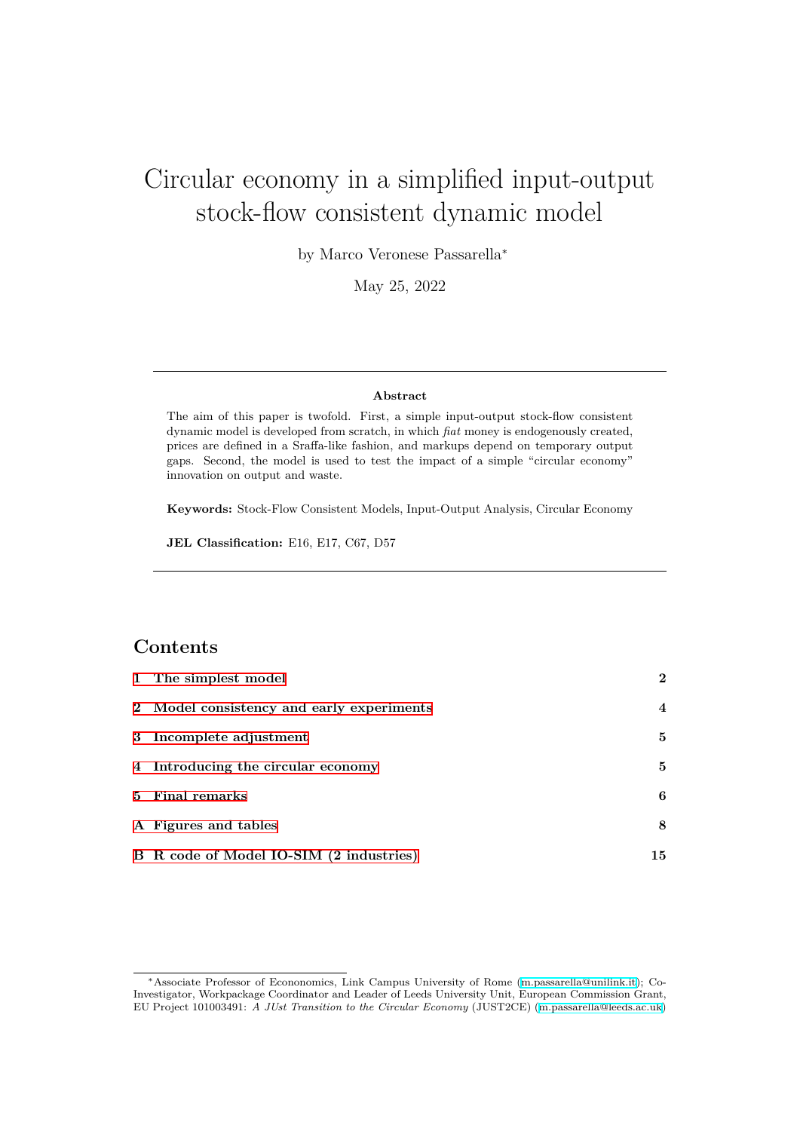# Circular economy in a simplified input-output stock-flow consistent dynamic model

by Marco Veronese Passarella*<sup>∗</sup>*

May 25, 2022

#### **Abstract**

The aim of this paper is twofold. First, a simple input-output stock-flow consistent dynamic model is developed from scratch, in which *fiat* money is endogenously created, prices are defined in a Sraffa-like fashion, and markups depend on temporary output gaps. Second, the model is used to test the impact of a simple "circular economy" innovation on output and waste.

**Keywords:** Stock-Flow Consistent Models, Input-Output Analysis, Circular Economy

**JEL Classification:** E16, E17, C67, D57

#### **Contents**

| 1 The simplest model                      | $\mathbf{2}$     |
|-------------------------------------------|------------------|
| 2 Model consistency and early experiments | $\boldsymbol{4}$ |
| 3 Incomplete adjustment                   | 5                |
| 4 Introducing the circular economy        | 5                |
| 5 Final remarks                           | 6                |
| A Figures and tables                      | 8                |
| B R code of Model IO-SIM (2 industries)   | 15               |

*<sup>∗</sup>*Associate Professor of Econonomics, Link Campus University of Rome (m.passarella@unilink.it); Co-Investigator, Workpackage Coordinator and Leader of Leeds University Unit, European Commission Grant, EU Project 101003491: *A JUst Transition to the Circular Economy* (JUST2CE) (m.passarella@leeds.ac.uk)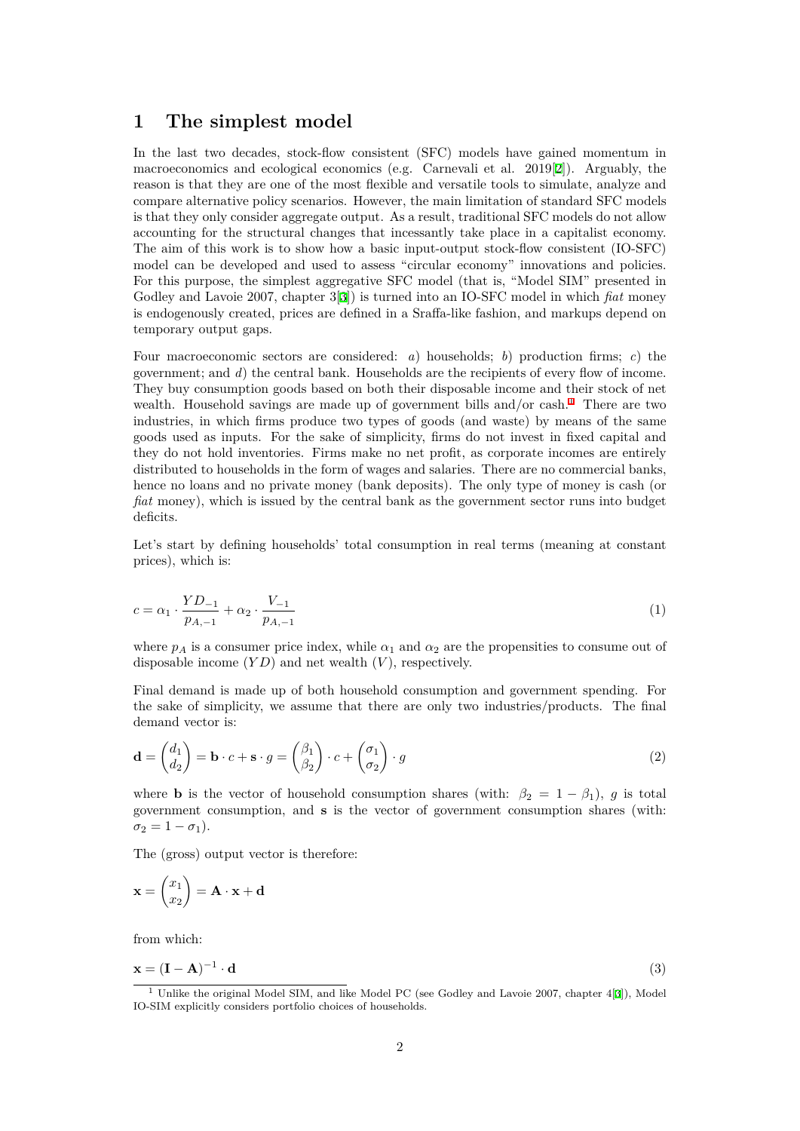#### **1 The simplest model**

<span id="page-1-0"></span>In the last two decades, stock-flow consistent (SFC) models have gained momentum in macroeconomics and ecological economics (e.g. Carnevali et al. 2019[2]). Arguably, the reason is that they are one of the most flexible and versatile tools to simulate, analyze and compare alternative policy scenarios. However, the main limitation of standard SFC models is that they only consider aggregate output. As a result, traditional SFC models do not allow accounting for the structural changes that incessantly take place in a [ca](#page-6-0)pitalist economy. The aim of this work is to show how a basic input-output stock-flow consistent (IO-SFC) model can be developed and used to assess "circular economy" innovations and policies. For this purpose, the simplest aggregative SFC model (that is, "Model SIM" presented in Godley and Lavoie 2007, chapter 3[3]) is turned into an IO-SFC model in which *fiat* money is endogenously created, prices are defined in a Sraffa-like fashion, and markups depend on temporary output gaps.

Four macroeconomic sectors are c[on](#page-6-1)sidered: *a*) households; *b*) production firms; *c*) the government; and *d*) the central bank. Households are the recipients of every flow of income. They buy consumption goods based on both their disposable income and their stock of net wealth. Household savings are made up of government bills and/or cash.<sup>1</sup> There are two industries, in which firms produce two types of goods (and waste) by means of the same goods used as inputs. For the sake of simplicity, firms do not invest in fixed capital and they do not hold inventories. Firms make no net profit, as corporate incomes are entirely distributed to households in the form of wages and salaries. There are no c[om](#page-1-1)mercial banks, hence no loans and no private money (bank deposits). The only type of money is cash (or *fiat* money), which is issued by the central bank as the government sector runs into budget deficits.

Let's start by defining households' total consumption in real terms (meaning at constant prices), which is:

$$
c = \alpha_1 \cdot \frac{YD_{-1}}{p_{A,-1}} + \alpha_2 \cdot \frac{V_{-1}}{p_{A,-1}} \tag{1}
$$

where  $p_A$  is a consumer price index, while  $\alpha_1$  and  $\alpha_2$  are the propensities to consume out of disposable income (*Y D*) and net wealth (*V* ), respectively.

Final demand is made up of both household consumption and government spending. For the sake of simplicity, we assume that there are only two industries/products. The final demand vector is:

$$
\mathbf{d} = \begin{pmatrix} d_1 \\ d_2 \end{pmatrix} = \mathbf{b} \cdot c + \mathbf{s} \cdot g = \begin{pmatrix} \beta_1 \\ \beta_2 \end{pmatrix} \cdot c + \begin{pmatrix} \sigma_1 \\ \sigma_2 \end{pmatrix} \cdot g \tag{2}
$$

where **b** is the vector of household consumption shares (with:  $\beta_2 = 1 - \beta_1$ ), *g* is total government consumption, and **s** is the vector of government consumption shares (with:  $\sigma_2 = 1 - \sigma_1$ ).

The (gross) output vector is therefore:

$$
\mathbf{x} = \begin{pmatrix} x_1 \\ x_2 \end{pmatrix} = \mathbf{A} \cdot \mathbf{x} + \mathbf{d}
$$

from which:

$$
\mathbf{x} = (\mathbf{I} - \mathbf{A})^{-1} \cdot \mathbf{d} \tag{3}
$$

<span id="page-1-1"></span><sup>1</sup> Unlike the original Model SIM, and like Model PC (see Godley and Lavoie 2007, chapter 4[3]), Model IO-SIM explicitly considers portfolio choices of households.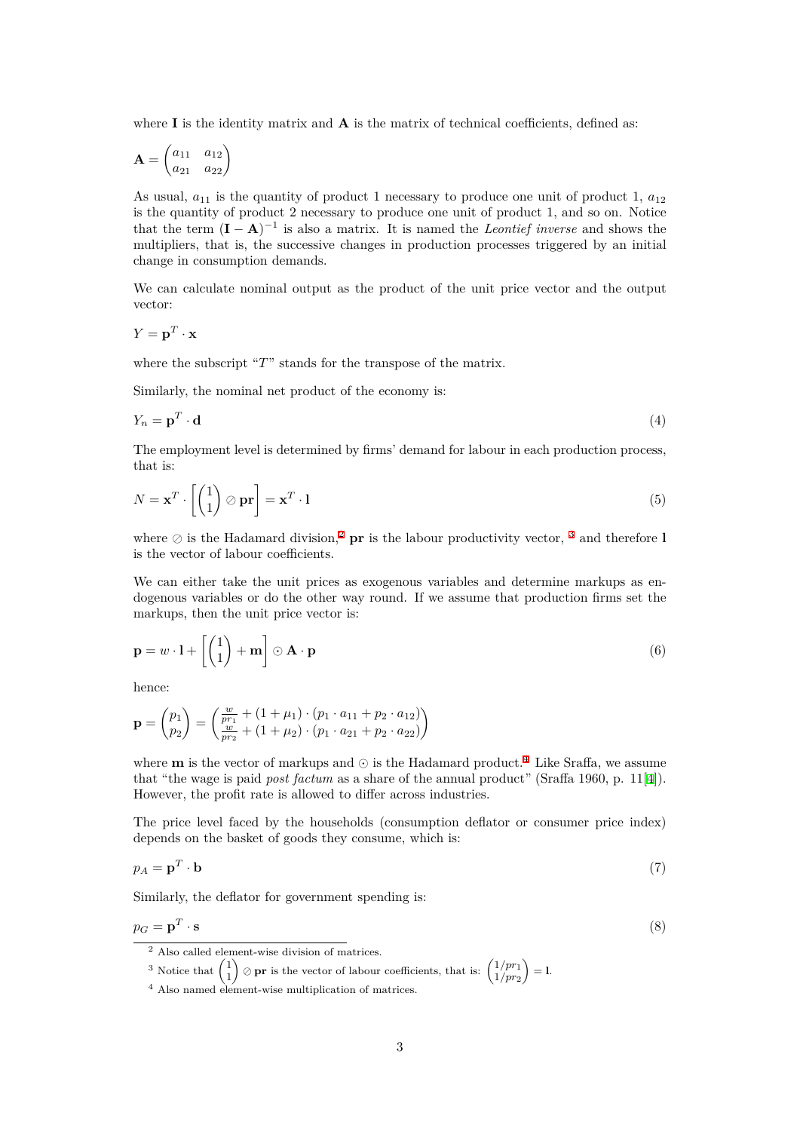where  $\bf{I}$  is the identity matrix and  $\bf{A}$  is the matrix of technical coefficients, defined as:

$$
\mathbf{A} = \begin{pmatrix} a_{11} & a_{12} \\ a_{21} & a_{22} \end{pmatrix}
$$

As usual,  $a_{11}$  is the quantity of product 1 necessary to produce one unit of product 1,  $a_{12}$ is the quantity of product 2 necessary to produce one unit of product 1, and so on. Notice that the term  $(I - A)^{-1}$  is also a matrix. It is named the *Leontief inverse* and shows the multipliers, that is, the successive changes in production processes triggered by an initial change in consumption demands.

We can calculate nominal output as the product of the unit price vector and the output vector:

$$
Y = \mathbf{p}^T \cdot \mathbf{x}
$$

where the subscript "*T*" stands for the transpose of the matrix.

Similarly, the nominal net product of the economy is:

$$
Y_n = \mathbf{p}^T \cdot \mathbf{d} \tag{4}
$$

The employment level is determined by firms' demand for labour in each production process, that is:

$$
N = \mathbf{x}^T \cdot \left[ \begin{pmatrix} 1 \\ 1 \end{pmatrix} \oslash \mathbf{pr} \right] = \mathbf{x}^T \cdot \mathbf{1}
$$
 (5)

where  $\oslash$  is the Hadamard division,<sup>2</sup> **pr** is the labour productivity vector, <sup>3</sup> and therefore **l** is the vector of labour coefficients.

We can either take the unit prices as exogenous variables and determine markups as endogenous variables or do the other [w](#page-2-0)ay round. If we assume that produc[tio](#page-2-1)n firms set the markups, then the unit price vector is:

$$
\mathbf{p} = w \cdot \mathbf{l} + \left[ \begin{pmatrix} 1 \\ 1 \end{pmatrix} + \mathbf{m} \right] \odot \mathbf{A} \cdot \mathbf{p}
$$
 (6)

hence:

$$
\mathbf{p} = \begin{pmatrix} p_1 \\ p_2 \end{pmatrix} = \begin{pmatrix} \frac{w}{p r_1} + (1 + \mu_1) \cdot (p_1 \cdot a_{11} + p_2 \cdot a_{12}) \\ \frac{w}{p r_2} + (1 + \mu_2) \cdot (p_1 \cdot a_{21} + p_2 \cdot a_{22}) \end{pmatrix}
$$

where **<sup>m</sup>** is the vector of markups and *<sup>⊙</sup>* is the Hadamard product.<sup>4</sup> Like Sraffa, we assume that "the wage is paid *post factum* as a share of the annual product" (Sraffa 1960, p. 11[4]). However, the profit rate is allowed to differ across industries.

The price level faced by the households (consumption deflator o[r](#page-2-2) consumer price index) depends on the basket of goods they consume, which is:

$$
p_A = \mathbf{p}^T \cdot \mathbf{b} \tag{7}
$$

Similarly, the deflator for government spending is:

$$
p_G = \mathbf{p}^T \cdot \mathbf{s} \tag{8}
$$

<sup>2</sup> Also called element-wise division of matrices.

<sup>3</sup> Notice that  $\begin{pmatrix} 1 \\ 1 \end{pmatrix}$ 1  $\binom{1}{pr}$  is the vector of labour coefficients, that is:  $\binom{1}{pr}$ <sub>*nr*2</sub> 1*/pr*<sup>2</sup>  $\bigg) = 1.$ 

<span id="page-2-2"></span><span id="page-2-1"></span><span id="page-2-0"></span><sup>4</sup> Also named element-wise multiplication of matrices.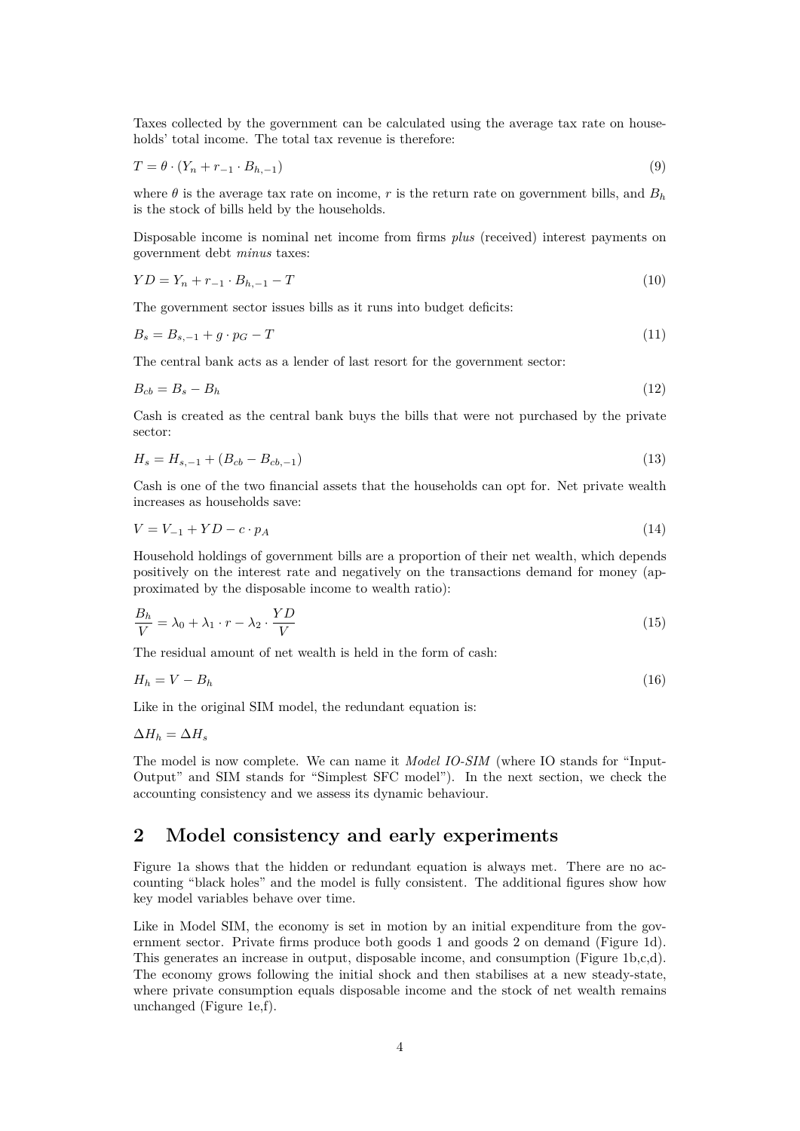Taxes collected by the government can be calculated using the average tax rate on households' total income. The total tax revenue is therefore:

$$
T = \theta \cdot (Y_n + r_{-1} \cdot B_{h,-1}) \tag{9}
$$

where  $\theta$  is the average tax rate on income, *r* is the return rate on government bills, and  $B_h$ is the stock of bills held by the households.

Disposable income is nominal net income from firms *plus* (received) interest payments on government debt *minus* taxes:

$$
YD = Y_n + r_{-1} \cdot B_{h,-1} - T \tag{10}
$$

The government sector issues bills as it runs into budget deficits:

$$
B_s = B_{s,-1} + g \cdot p_G - T \tag{11}
$$

The central bank acts as a lender of last resort for the government sector:

$$
B_{cb} = B_s - B_h \tag{12}
$$

Cash is created as the central bank buys the bills that were not purchased by the private sector:

$$
H_s = H_{s,-1} + (B_{cb} - B_{cb,-1})
$$
\n(13)

Cash is one of the two financial assets that the households can opt for. Net private wealth increases as households save:

$$
V = V_{-1} + YD - c \cdot p_A \tag{14}
$$

Household holdings of government bills are a proportion of their net wealth, which depends positively on the interest rate and negatively on the transactions demand for money (approximated by the disposable income to wealth ratio):

$$
\frac{B_h}{V} = \lambda_0 + \lambda_1 \cdot r - \lambda_2 \cdot \frac{YD}{V}
$$
\n(15)

The residual amount of net wealth is held in the form of cash:

$$
H_h = V - B_h \tag{16}
$$

Like in the original SIM model, the redundant equation is:

$$
\Delta H_h = \Delta H_s
$$

The model is now complete. We can name it *Model IO-SIM* (where IO stands for "Input-Output" and SIM stands for "Simplest SFC model"). In the next section, we check the accounting consistency and we assess its dynamic behaviour.

### <span id="page-3-0"></span>**2 Model consistency and early experiments**

Figure 1a shows that the hidden or redundant equation is always met. There are no accounting "black holes" and the model is fully consistent. The additional figures show how key model variables behave over time.

Like in Model SIM, the economy is set in motion by an initial expenditure from the government sector. Private firms produce both goods 1 and goods 2 on demand (Figure 1d). This generates an increase in output, disposable income, and consumption (Figure 1b,c,d). The economy grows following the initial shock and then stabilises at a new steady-state, where private consumption equals disposable income and the stock of net wealth remains unchanged (Figure 1e,f).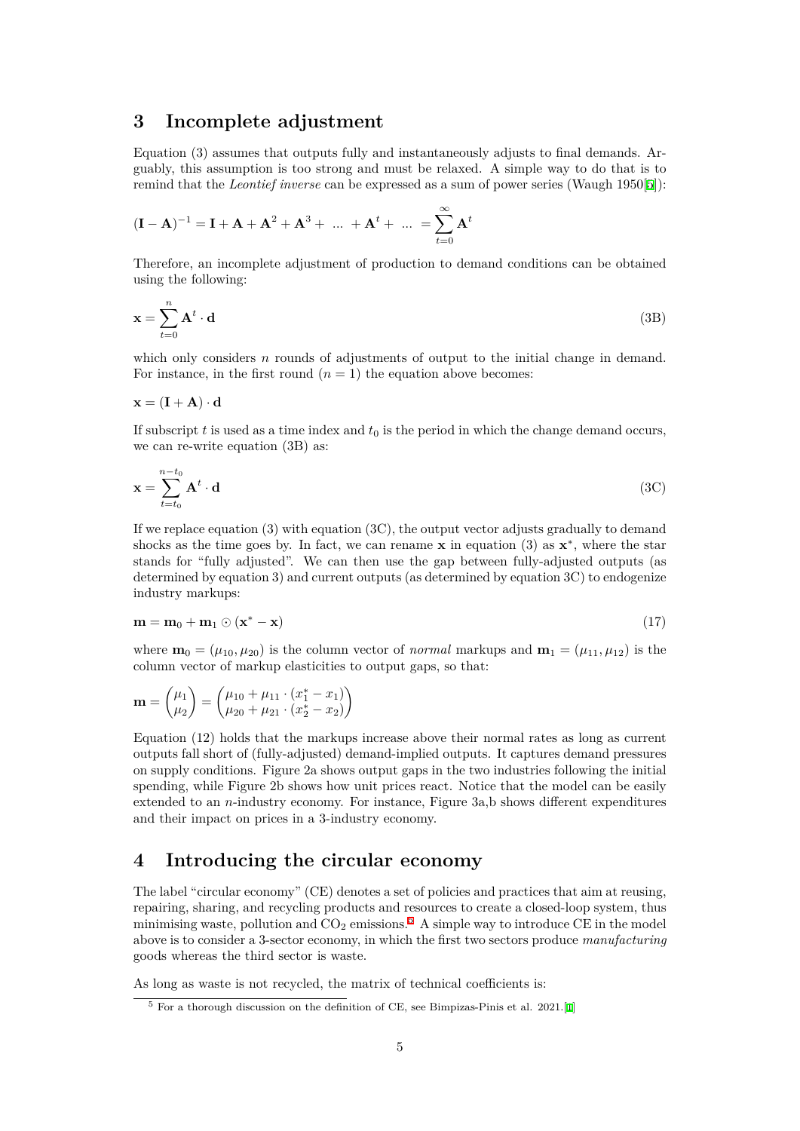#### **3 Incomplete adjustment**

Equation (3) assumes that outputs fully and instantaneously adjusts to final demands. Arguably, this assumption is too strong and must be relaxed. A simple way to do that is to remind that the *Leontief inverse* can be expressed as a sum of power series (Waugh 1950[5]):

<span id="page-4-0"></span>
$$
(\mathbf{I} - \mathbf{A})^{-1} = \mathbf{I} + \mathbf{A} + \mathbf{A}^{2} + \mathbf{A}^{3} + \dots + \mathbf{A}^{t} + \dots = \sum_{t=0}^{\infty} \mathbf{A}^{t}
$$

Therefore, an incomplete adjustment of production to demand conditions can be obtained using the following:

$$
\mathbf{x} = \sum_{t=0}^{n} \mathbf{A}^t \cdot \mathbf{d}
$$
 (3B)

which only considers *n* rounds of adjustments of output to the initial change in demand. For instance, in the first round  $(n = 1)$  the equation above becomes:

$$
\mathbf{x} = (\mathbf{I} + \mathbf{A}) \cdot \mathbf{d}
$$

If subscript  $t$  is used as a time index and  $t_0$  is the period in which the change demand occurs, we can re-write equation (3B) as:

$$
\mathbf{x} = \sum_{t=t_0}^{n-t_0} \mathbf{A}^t \cdot \mathbf{d}
$$
 (3C)

If we replace equation  $(3)$  with equation  $(3C)$ , the output vector adjusts gradually to demand shocks as the time goes by. In fact, we can rename **x** in equation (3) as  $\mathbf{x}^*$ , where the star stands for "fully adjusted". We can then use the gap between fully-adjusted outputs (as determined by equation 3) and current outputs (as determined by equation 3C) to endogenize industry markups:

$$
\mathbf{m} = \mathbf{m}_0 + \mathbf{m}_1 \odot (\mathbf{x}^* - \mathbf{x}) \tag{17}
$$

where  $\mathbf{m}_0 = (\mu_{10}, \mu_{20})$  is the column vector of *normal* markups and  $\mathbf{m}_1 = (\mu_{11}, \mu_{12})$  is the column vector of markup elasticities to output gaps, so that:

$$
\mathbf{m} = \begin{pmatrix} \mu_1 \\ \mu_2 \end{pmatrix} = \begin{pmatrix} \mu_{10} + \mu_{11} \cdot (x_1^* - x_1) \\ \mu_{20} + \mu_{21} \cdot (x_2^* - x_2) \end{pmatrix}
$$

Equation (12) holds that the markups increase above their normal rates as long as current outputs fall short of (fully-adjusted) demand-implied outputs. It captures demand pressures on supply conditions. Figure 2a shows output gaps in the two industries following the initial spending, while Figure 2b shows how unit prices react. Notice that the model can be easily extended to an *n*-industry economy. For instance, Figure 3a,b shows different expenditures and their impact on prices in a 3-industry economy.

#### **4 Introducing the circular economy**

<span id="page-4-1"></span>The label "circular economy" (CE) denotes a set of policies and practices that aim at reusing, repairing, sharing, and recycling products and resources to create a closed-loop system, thus minimising waste, pollution and  $CO_2$  emissions.<sup>5</sup> A simple way to introduce CE in the model above is to consider a 3-sector economy, in which the first two sectors produce *manufacturing* goods whereas the third sector is waste.

As long as waste is not recycled, the matrix of [t](#page-4-2)echnical coefficients is:

<span id="page-4-2"></span> $5$  For a thorough discussion on the definition of CE, see Bimpizas-Pinis et al. 2021.[1]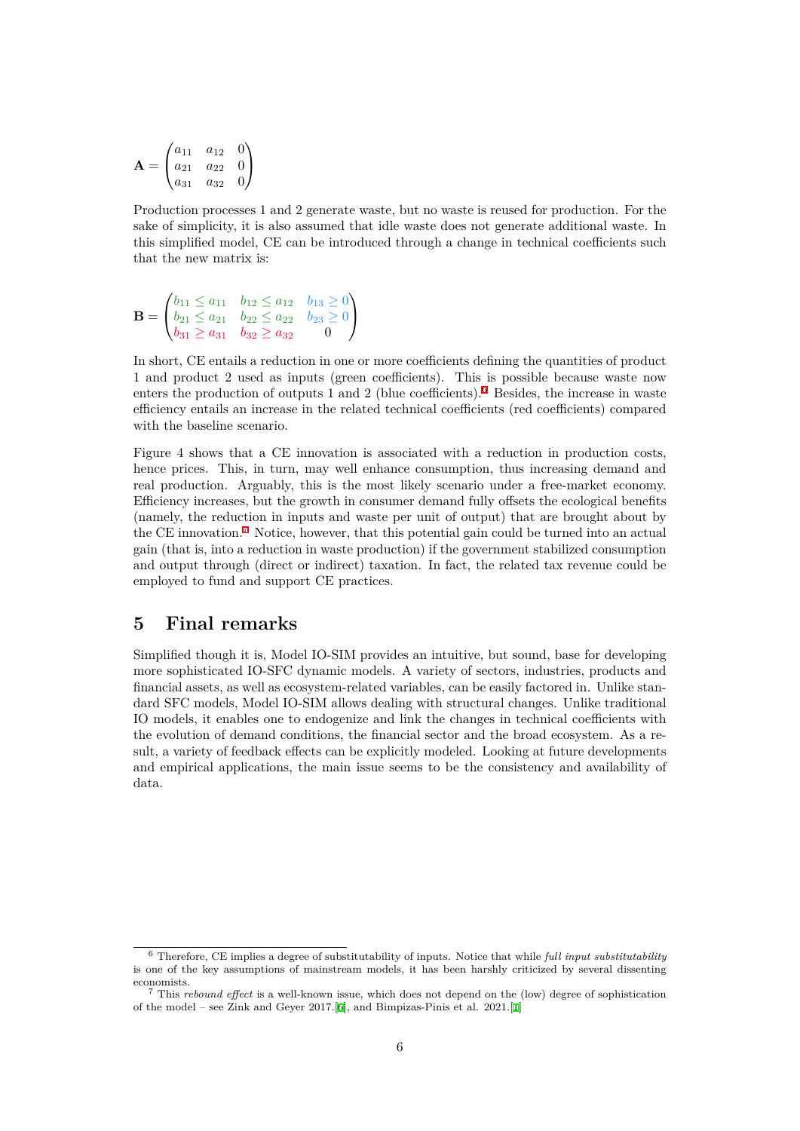$$
\mathbf{A} = \begin{pmatrix} a_{11} & a_{12} & 0 \\ a_{21} & a_{22} & 0 \\ a_{31} & a_{32} & 0 \end{pmatrix}
$$

Production processes 1 and 2 generate waste, but no waste is reused for production. For the sake of simplicity, it is also assumed that idle waste does not generate additional waste. In this simplified model, CE can be introduced through a change in technical coefficients such that the new matrix is:

$$
\mathbf{B} = \begin{pmatrix} b_{11} \le a_{11} & b_{12} \le a_{12} & b_{13} \ge 0 \\ b_{21} \le a_{21} & b_{22} \le a_{22} & b_{23} \ge 0 \\ b_{31} \ge a_{31} & b_{32} \ge a_{32} & 0 \end{pmatrix}
$$

In short, CE entails a reduction in one or more coefficients defining the quantities of product 1 and product 2 used as inputs (green coefficients). This is possible because waste now enters the production of outputs 1 and 2 (blue coefficients).<sup>6</sup> Besides, the increase in waste efficiency entails an increase in the related technical coefficients (red coefficients) compared with the baseline scenario.

Figure 4 shows that a CE innovation is associated with a [r](#page-5-1)eduction in production costs, hence prices. This, in turn, may well enhance consumption, thus increasing demand and real production. Arguably, this is the most likely scenario under a free-market economy. Efficiency increases, but the growth in consumer demand fully offsets the ecological benefits (namely, the reduction in inputs and waste per unit of output) that are brought about by the CE innovation.<sup>7</sup> Notice, however, that this potential gain could be turned into an actual gain (that is, into a reduction in waste production) if the government stabilized consumption and output through (direct or indirect) taxation. In fact, the related tax revenue could be employed to fund and support CE practices.

#### **5 Final remarks**

<span id="page-5-0"></span>Simplified though it is, Model IO-SIM provides an intuitive, but sound, base for developing more sophisticated IO-SFC dynamic models. A variety of sectors, industries, products and financial assets, as well as ecosystem-related variables, can be easily factored in. Unlike standard SFC models, Model IO-SIM allows dealing with structural changes. Unlike traditional IO models, it enables one to endogenize and link the changes in technical coefficients with the evolution of demand conditions, the financial sector and the broad ecosystem. As a result, a variety of feedback effects can be explicitly modeled. Looking at future developments and empirical applications, the main issue seems to be the consistency and availability of data.

<sup>6</sup> Therefore, CE implies a degree of substitutability of inputs. Notice that while *full input substitutability* is one of the key assumptions of mainstream models, it has been harshly criticized by several dissenting economists.

<span id="page-5-1"></span><sup>7</sup> This *rebound effect* is a well-known issue, which does not depend on the (low) degree of sophistication of the model – see Zink and Geyer 2017.[6], and Bimpizas-Pinis et al. 2021.[1]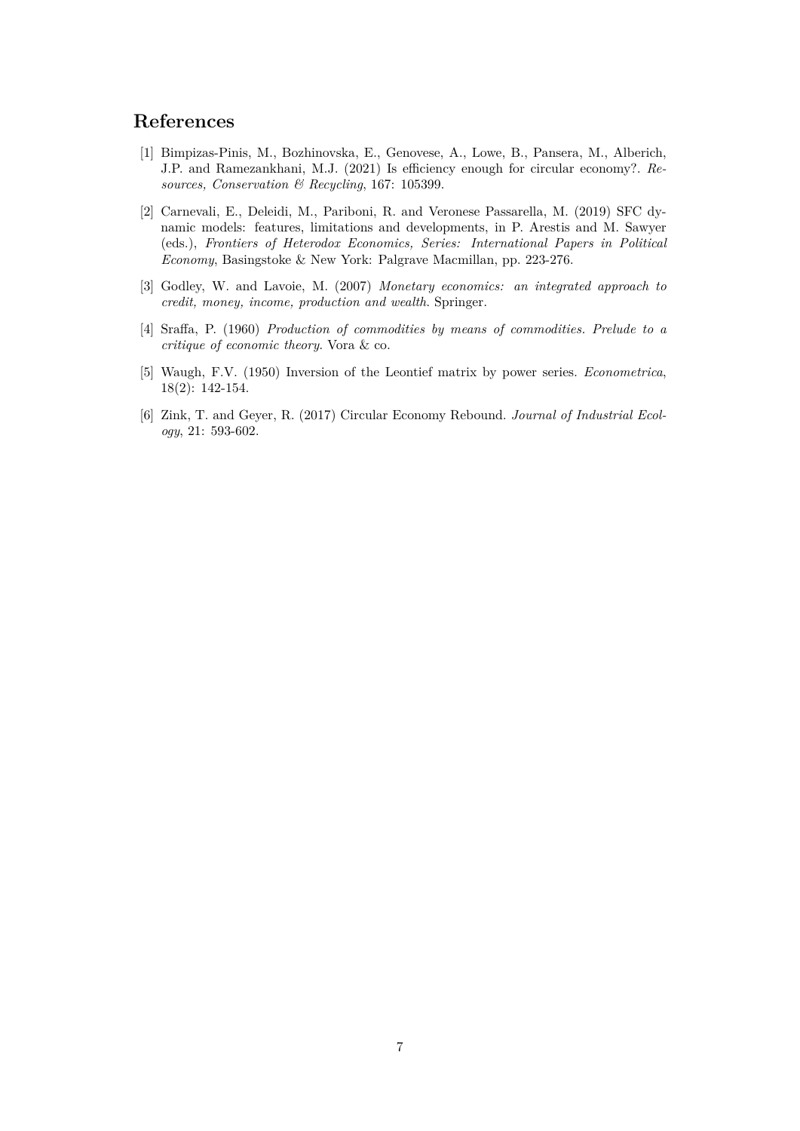# **References**

- [1] Bimpizas-Pinis, M., Bozhinovska, E., Genovese, A., Lowe, B., Pansera, M., Alberich, J.P. and Ramezankhani, M.J. (2021) Is efficiency enough for circular economy?. *Resources, Conservation & Recycling*, 167: 105399.
- <span id="page-6-0"></span>[2] Carnevali, E., Deleidi, M., Pariboni, R. and Veronese Passarella, M. (2019) SFC dynamic models: features, limitations and developments, in P. Arestis and M. Sawyer (eds.), *Frontiers of Heterodox Economics, Series: International Papers in Political Economy*, Basingstoke & New York: Palgrave Macmillan, pp. 223-276.
- <span id="page-6-1"></span>[3] Godley, W. and Lavoie, M. (2007) *Monetary economics: an integrated approach to credit, money, income, production and wealth*. Springer.
- [4] Sraffa, P. (1960) *Production of commodities by means of commodities. Prelude to a critique of economic theory*. Vora & co.
- [5] Waugh, F.V. (1950) Inversion of the Leontief matrix by power series. *Econometrica*, 18(2): 142-154.
- [6] Zink, T. and Geyer, R. (2017) Circular Economy Rebound. *Journal of Industrial Ecology*, 21: 593-602.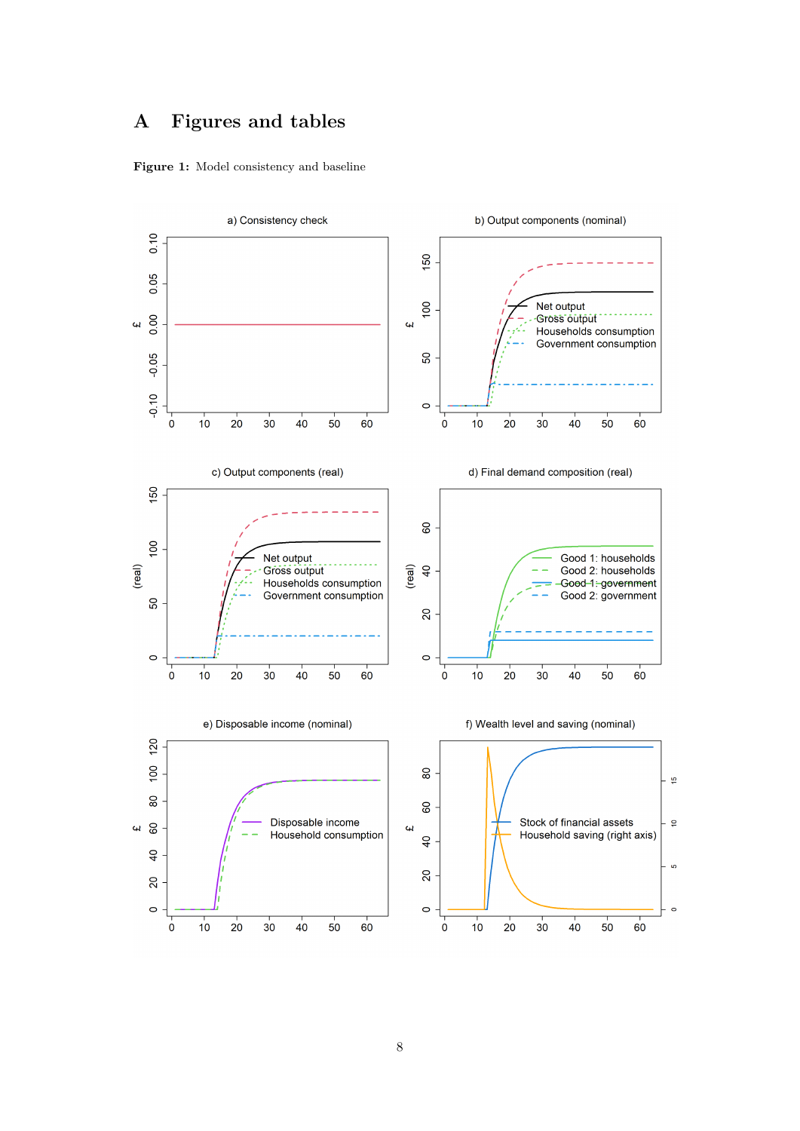# **A Figures and tables**



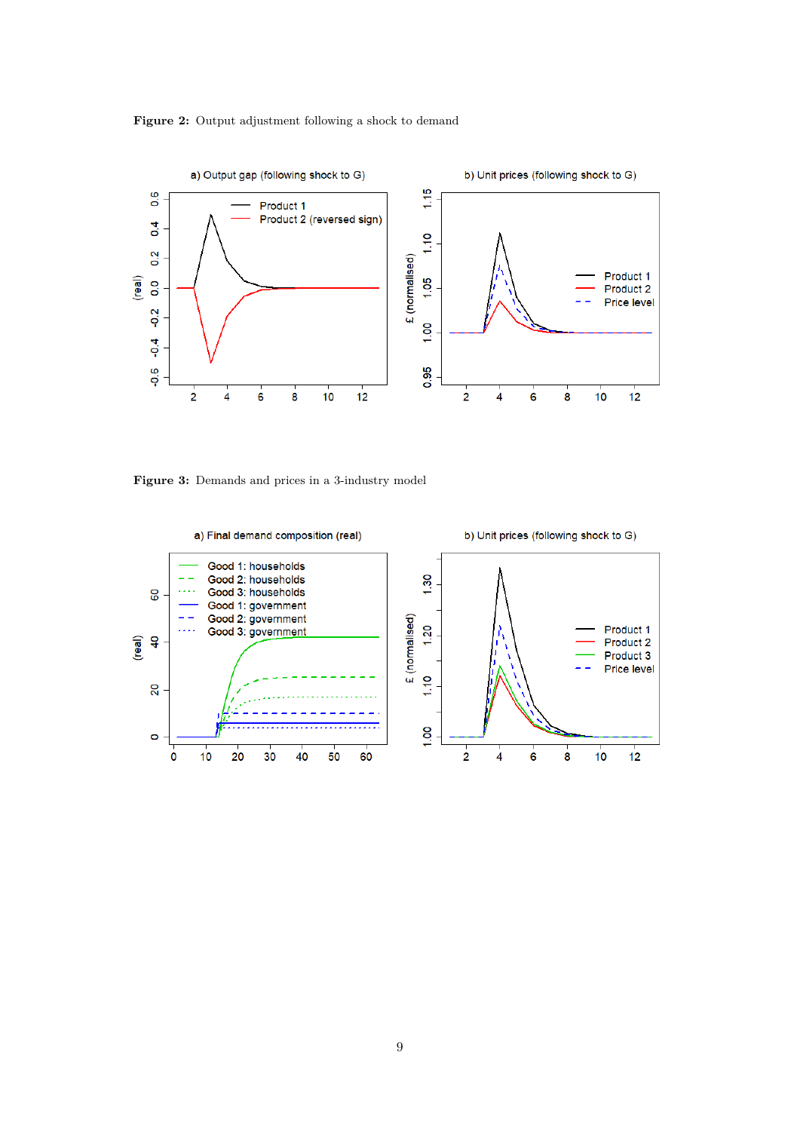



Figure 3: Demands and prices in a 3-industry model

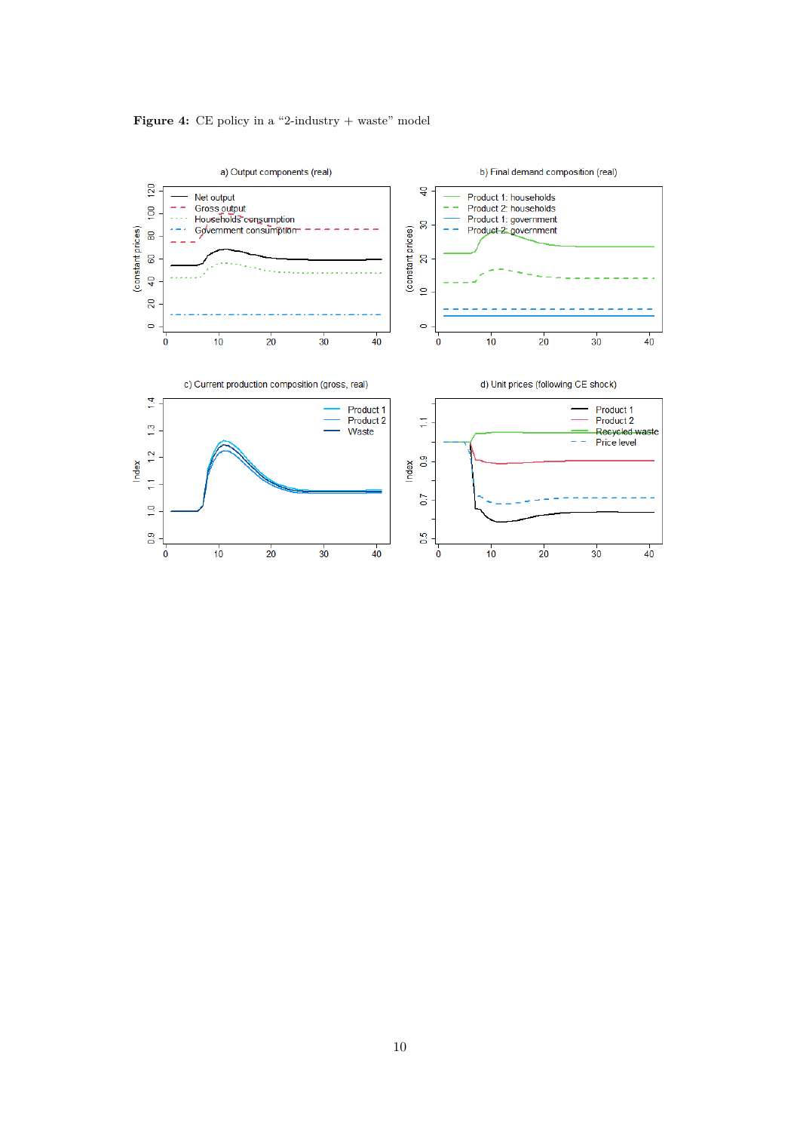#### **Figure 4:** CE policy in a "2-industry + waste" model

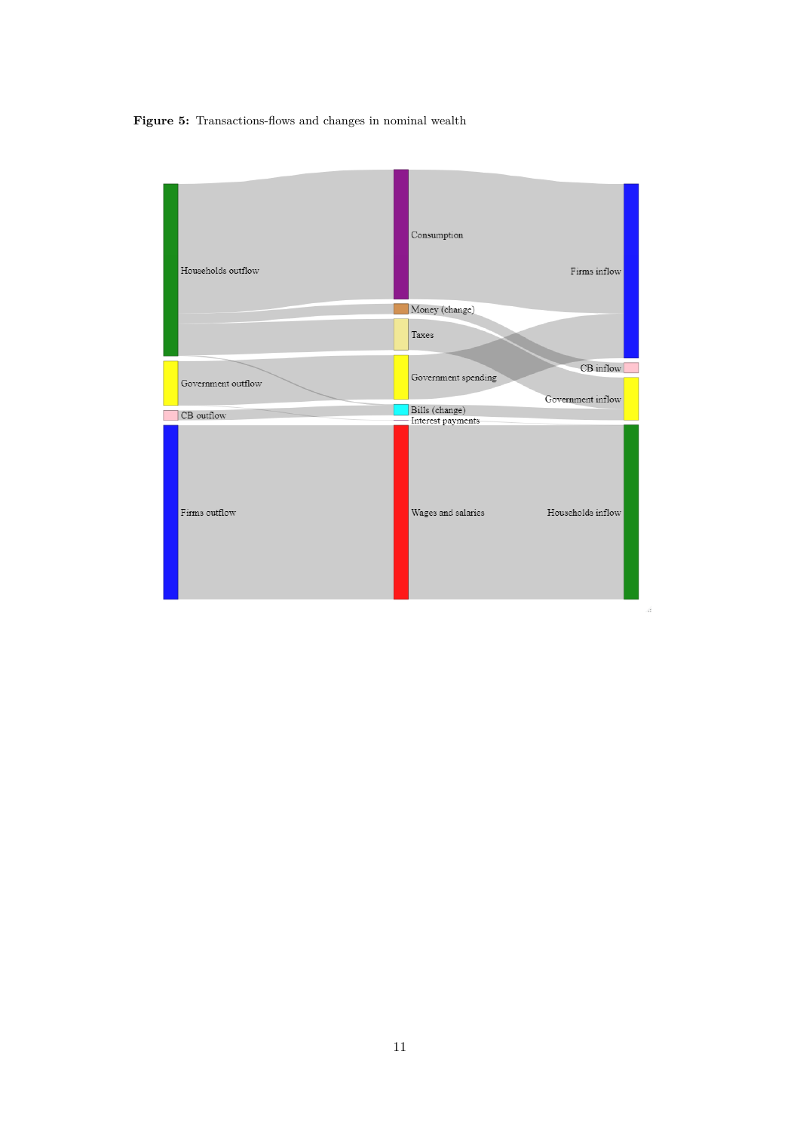**Figure 5:** Transactions-flows and changes in nominal wealth

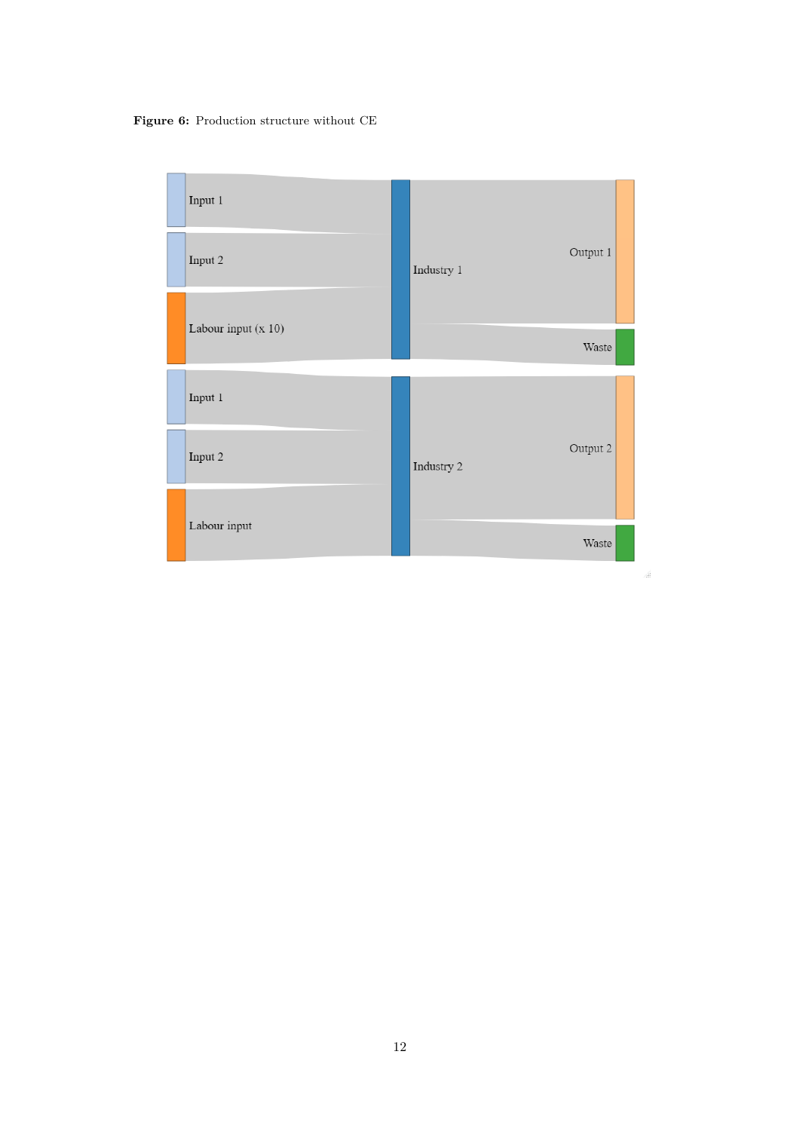**Figure 6:** Production structure without CE

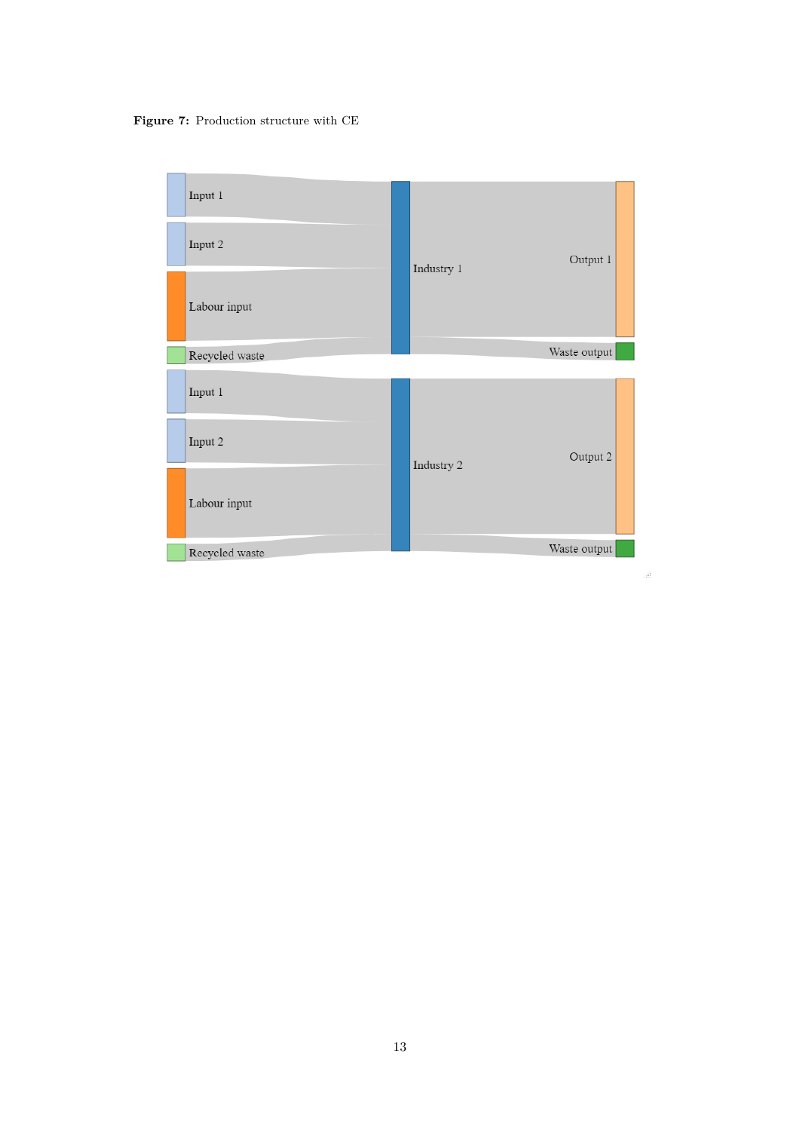**Figure 7:** Production structure with CE



 $\frac{1}{2}$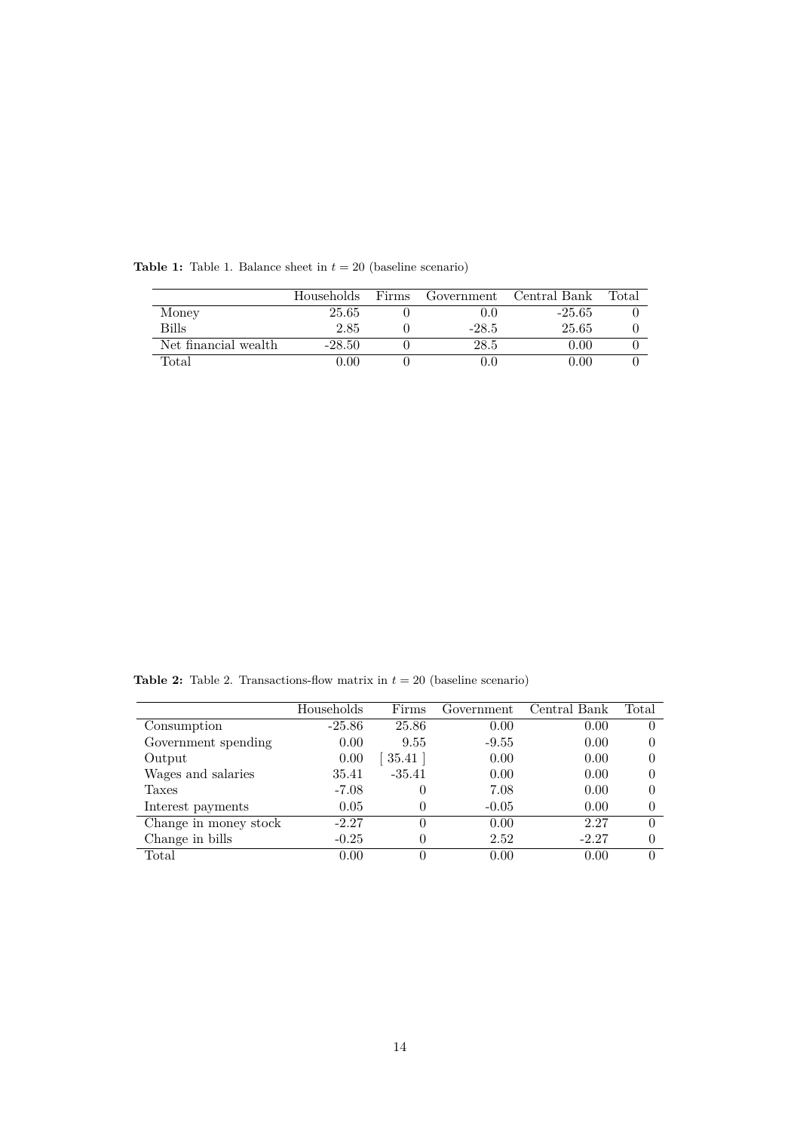|                      | Households | Firms | Government | Central Bank | Total |
|----------------------|------------|-------|------------|--------------|-------|
| Money                | 25.65      |       | 0.0        | $-25.65$     |       |
| <b>Bills</b>         | 2.85       |       | $-28.5$    | 25.65        |       |
| Net financial wealth | $-28.50$   |       | 28.5       | 0.00         |       |
| $_{\rm Total}$       | 0.00       |       |            | 0.00         |       |

**Table 1:** Table 1. Balance sheet in  $t = 20$  (baseline scenario)

**Table 2:** Table 2. Transactions-flow matrix in  $t = 20$  (baseline scenario)

|                       | Households | Firms    | Government | Central Bank | Total    |
|-----------------------|------------|----------|------------|--------------|----------|
| Consumption           | $-25.86$   | 25.86    | 0.00       | 0.00         |          |
| Government spending   | 0.00       | 9.55     | $-9.55$    | 0.00         |          |
| Output                | 0.00       | 35.41    | 0.00       | 0.00         |          |
| Wages and salaries    | 35.41      | $-35.41$ | 0.00       | 0.00         |          |
| Taxes                 | $-7.08$    | 0        | 7.08       | 0.00         |          |
| Interest payments     | 0.05       | 0        | $-0.05$    | 0.00         |          |
| Change in money stock | $-2.27$    | 0        | 0.00       | 2.27         | $\Omega$ |
| Change in bills       | $-0.25$    | 0        | 2.52       | $-2.27$      |          |
| $\rm Total$           | 0.00       | 0        | 0.00       | 0.00         |          |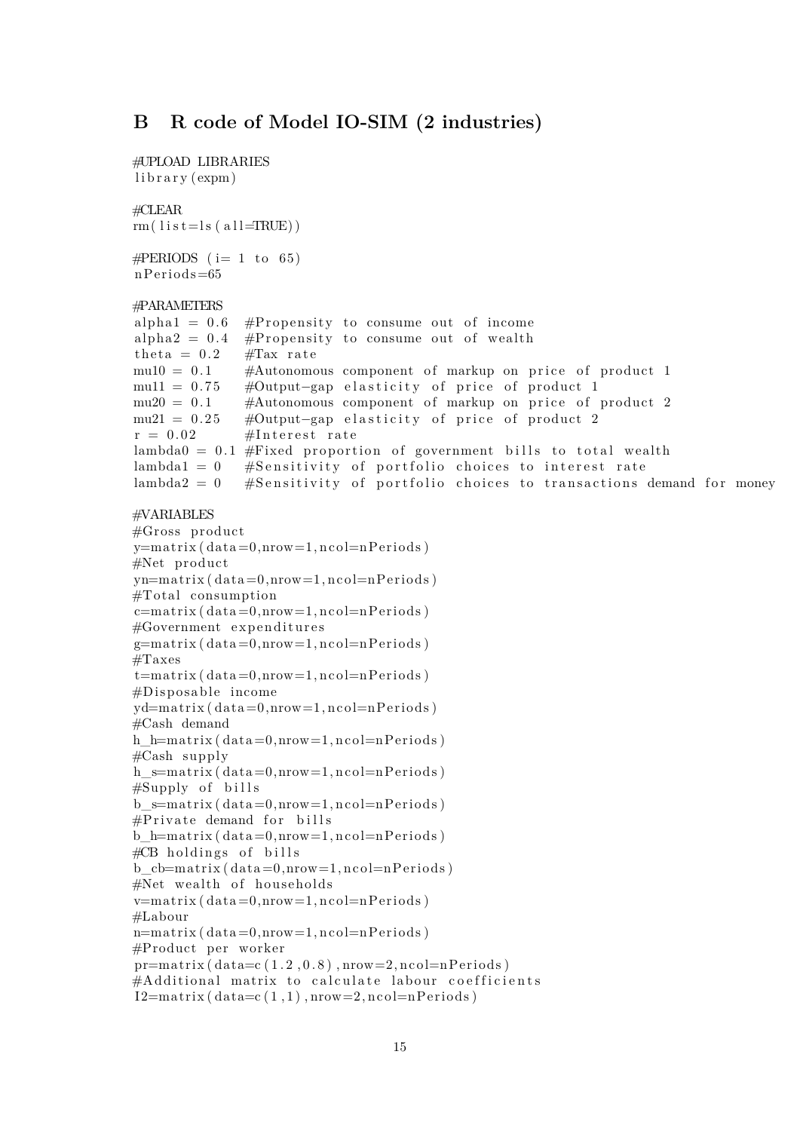## **B R code of Model IO-SIM (2 industries)**

```
#UPLOAD LIBRARIES
library (expm)
#CLEAR
rm( l i s t = l s ( a l l = TRUE))
\#PERIDDS (i= 1 to 65)
nPeriods=65#PARAMETERS
alpha1 = 0.6 #Propensity to consume out of income<br>alpha2 = 0.4 #Propensity to consume out of wealth
                \#Propensity to consume out of wealth
theta = 0.2 #Tax rate
mu10 = 0.1 #Autonomous component of markup on price of product 1
mu11 = 0.75 #Output−gap elasticity of price of product 1<br>mu20 = 0.1 #Autonomous component of markup on price of
                #Autonomous component of markup on price of product 2
mu21 = 0.25 #Output−gap elasticity of price of product 2<br>r = 0.02 #Interest rate
                #Interest rate
lambda0 = 0.1 #Fixed proportion of government bills to total wealth
lambda1 = 0 #Sensitivity of portfolio choices to interest rate
lambda2 = 0 #Sensitivity of portfolio choices to transactions demand for money
#VARIABLES
#Gross producty=matrix ( data=0, nrow=1, ncol=nPeriods )#Net product
yn=matrix ( data=0, nrow=1, ncol=nPeriods )#Total consumptionc=matrix ( data=0.nrow=1, ncol=nPeriods )#Government expenditures
g=matrix ( data=0, nrow=1, ncol=nPeriods )#Taxes
t=matrix (data = 0, nrow=1, ncol=nPeriods)
# Disposable income
yd = matrix (data = 0, nrow = 1, ncol = nPeriods)#Cash demand
h h=matrix ( data =0,nrow=1,ncol=nP e riods )
#Cash supply
h s=matrix ( data=0,nrow=1, ncol=nPeriods )#Supply of bills
b_s=matrix (data=0, nrow=1, n c ol=n P e riods)
#Private demand for bills
b h=matrix ( data=0,nrow=1, ncol=nPeriods )#CB holdings of bills
b_c-b=matrix ( data=0,nrow=1, ncol=nPeriods )#Net wealth of households
v=matrix ( data=0,nrow=1, ncol=nPeriods )#Labour
n=matrix ( data=0, nrow=1, ncol=nPeriods )\#Product per worker
pr=matrix ( 1.2, 0.8 ), nrow=2, ncol=nPeriods )#Additional matrix to calculate labour coefficients
I2 = matrix (data=c(1,1), nrow=2, ncol=nPeriods)
```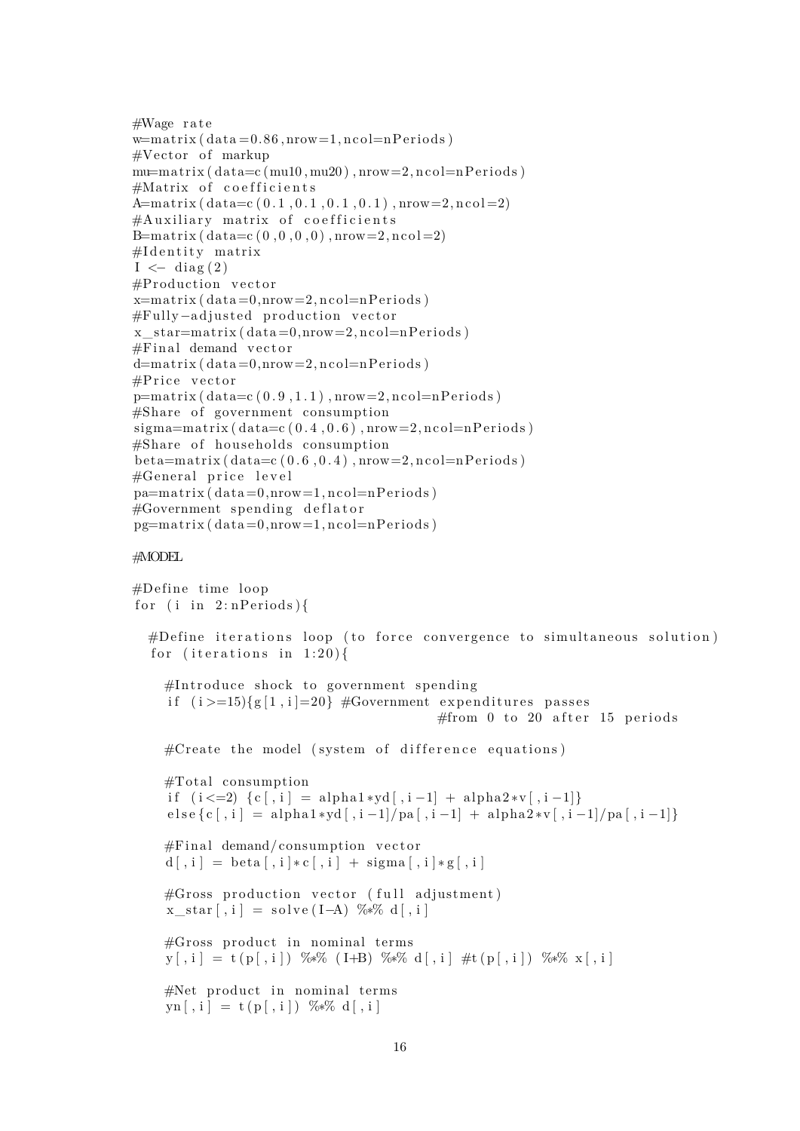```
#Wage rate
w=matrix (data=0.86, nrow=1, ncol=nPeriods)\#Vector of markup
mu=matrix ( data=c (mu10, mu20), nrow=2, ncol=nPeriods)#Matrix of coefficients
A=matrix (data = c (0.1, 0.1, 0.1, 0.1), nrow=2, ncol=2)
#Auxiliary matrix of coefficients
B = matrix ( data=c (0, 0, 0, 0), nrow=2, ncol = 2)
#I dentity matrix
I \leftarrow diag(2)#Production vector
x=matrix ( data=0, nrow=2, ncol=nPeriods )#Fully-adjusted production vector
x star = matrix ( data = 0, nrow = 2, ncol = nPeriods )#Final demand vector
d=matrix ( data=0, nrow=2, ncol=nPeriods )\#Price vector
p=matrix ( 0.9, 1.1 ), nrow=2, ncol=nPeriods )#Share of government consumptionsigma = matrix (data=c(0.4, 0.6), nrow=2, ncol=nPeriods)#Share of households consumption
beta = matrix (data = c (0.6, 0.4), nrow = 2, ncol = nPeriods)#General price level
pa=matrix ( data=0, nrow=1, ncol=nPeriods )\#\text{Government} spending deflator
pg=matrix ( data=0, nrow=1, ncol=nPeriods )
```
#### #MODEL

```
#Define time loopfor (i in 2:nPeriods){
  #Define iterations loop (to force convergence to simultaneous solution)
   for (iterations in 1:20){
     \#\text{Introduce shock to government spending}if (i>=15)\{g[1,i]=20\} #Government expenditures passes
                                                     #from 0 to 20 after 15 periods
     \#\text{Create the model (system of difference equations)}#Total consumptionif (i \leq 2) \{ c \, | \, i \, | = \alpha ! \text{ph} \, a \, 1 * \text{ph} \, a \, | \, i -1 \} + \alpha ! \text{ph} \, a \, 2 * \text{vl} \, | \, i -1 \}e l s e { c [ , i ] = alph a 1 ∗yd [ , i −1]/ pa [ , i −1] + alph a 2 ∗v [ , i −1]/ pa [ , i −1]}
     #Final demand/consumption vectord \lceil, i \rceil = \text{beta} \lceil, i \rceil * c \lceil, i \rceil + \text{sigma} \lceil, i \rceil * g \lceil, i \rceil\#\mathbf{Gross} production vector (full adjustment)
      x_star [ , i ] = s o l v e ( I−A) %∗% d [ , i ]
     #Gross product in nominal terms
     y [ , i ] = t ( p [ , i ] ) %∗% ( I+B) %∗% d [ , i ] #t ( p [ , i ] ) %∗% x [ , i ]
     #Net product in nominal terms
     yn[ , i] = t(p[ , i]) % %*% d[, i]
```